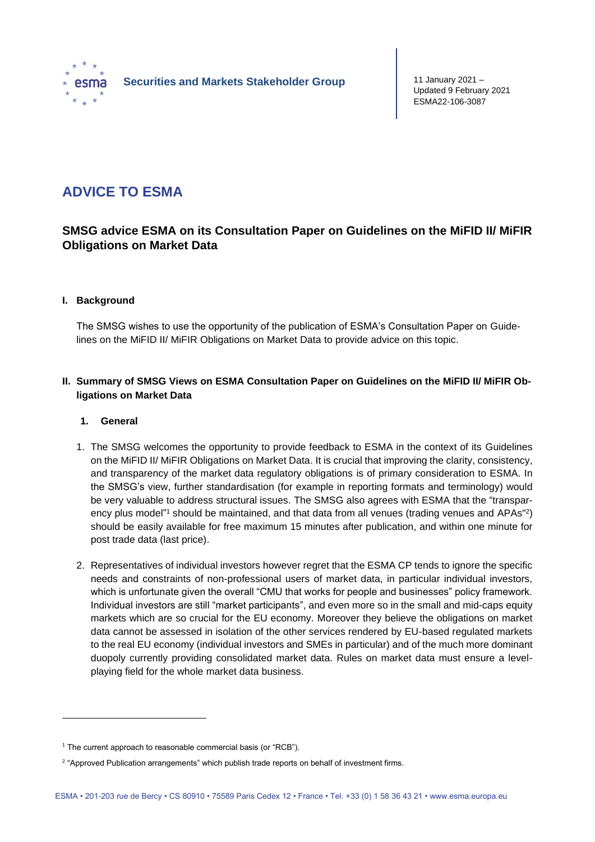

# **ADVICE TO ESMA**

# **SMSG advice ESMA on its Consultation Paper on Guidelines on the MiFID II/ MiFIR Obligations on Market Data**

## **I. Background**

The SMSG wishes to use the opportunity of the publication of ESMA's Consultation Paper on Guidelines on the MiFID II/ MiFIR Obligations on Market Data to provide advice on this topic.

# **II. Summary of SMSG Views on ESMA Consultation Paper on Guidelines on the MiFID II/ MiFIR Obligations on Market Data**

#### **1. General**

- 1. The SMSG welcomes the opportunity to provide feedback to ESMA in the context of its Guidelines on the MiFID II/ MiFIR Obligations on Market Data. It is crucial that improving the clarity, consistency, and transparency of the market data regulatory obligations is of primary consideration to ESMA. In the SMSG's view, further standardisation (for example in reporting formats and terminology) would be very valuable to address structural issues. The SMSG also agrees with ESMA that the "transparency plus model"1 should be maintained, and that data from all venues (trading venues and APAs"<sup>2</sup>) should be easily available for free maximum 15 minutes after publication, and within one minute for post trade data (last price).
- 2. Representatives of individual investors however regret that the ESMA CP tends to ignore the specific needs and constraints of non-professional users of market data, in particular individual investors, which is unfortunate given the overall "CMU that works for people and businesses" policy framework. Individual investors are still "market participants", and even more so in the small and mid-caps equity markets which are so crucial for the EU economy. Moreover they believe the obligations on market data cannot be assessed in isolation of the other services rendered by EU-based regulated markets to the real EU economy (individual investors and SMEs in particular) and of the much more dominant duopoly currently providing consolidated market data. Rules on market data must ensure a levelplaying field for the whole market data business.

<sup>&</sup>lt;sup>1</sup> The current approach to reasonable commercial basis (or "RCB").

<sup>&</sup>lt;sup>2</sup> "Approved Publication arrangements" which publish trade reports on behalf of investment firms.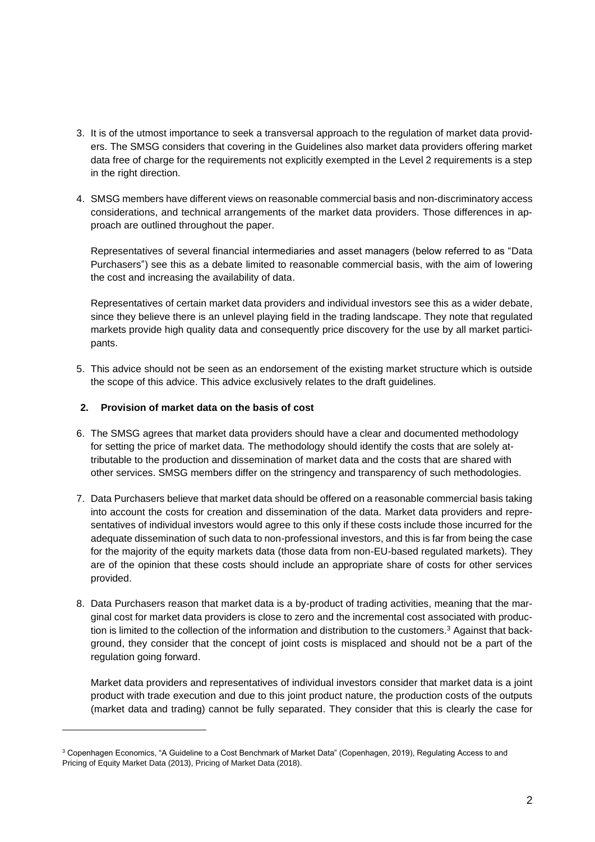- 3. It is of the utmost importance to seek a transversal approach to the regulation of market data providers. The SMSG considers that covering in the Guidelines also market data providers offering market data free of charge for the requirements not explicitly exempted in the Level 2 requirements is a step in the right direction.
- 4. SMSG members have different views on reasonable commercial basis and non-discriminatory access considerations, and technical arrangements of the market data providers. Those differences in approach are outlined throughout the paper.

Representatives of several financial intermediaries and asset managers (below referred to as "Data Purchasers") see this as a debate limited to reasonable commercial basis, with the aim of lowering the cost and increasing the availability of data.

Representatives of certain market data providers and individual investors see this as a wider debate, since they believe there is an unlevel playing field in the trading landscape. They note that regulated markets provide high quality data and consequently price discovery for the use by all market participants.

5. This advice should not be seen as an endorsement of the existing market structure which is outside the scope of this advice. This advice exclusively relates to the draft guidelines.

## **2. Provision of market data on the basis of cost**

- 6. The SMSG agrees that market data providers should have a clear and documented methodology for setting the price of market data. The methodology should identify the costs that are solely attributable to the production and dissemination of market data and the costs that are shared with other services. SMSG members differ on the stringency and transparency of such methodologies.
- 7. Data Purchasers believe that market data should be offered on a reasonable commercial basis taking into account the costs for creation and dissemination of the data. Market data providers and representatives of individual investors would agree to this only if these costs include those incurred for the adequate dissemination of such data to non-professional investors, and this is far from being the case for the majority of the equity markets data (those data from non-EU-based regulated markets). They are of the opinion that these costs should include an appropriate share of costs for other services provided.
- 8. Data Purchasers reason that market data is a by-product of trading activities, meaning that the marginal cost for market data providers is close to zero and the incremental cost associated with production is limited to the collection of the information and distribution to the customers. <sup>3</sup> Against that background, they consider that the concept of joint costs is misplaced and should not be a part of the regulation going forward.

Market data providers and representatives of individual investors consider that market data is a joint product with trade execution and due to this joint product nature, the production costs of the outputs (market data and trading) cannot be fully separated. They consider that this is clearly the case for

<sup>3</sup> Copenhagen Economics, "A Guideline to a Cost Benchmark of Market Data" (Copenhagen, 2019), Regulating Access to and Pricing of Equity Market Data (2013), Pricing of Market Data (2018).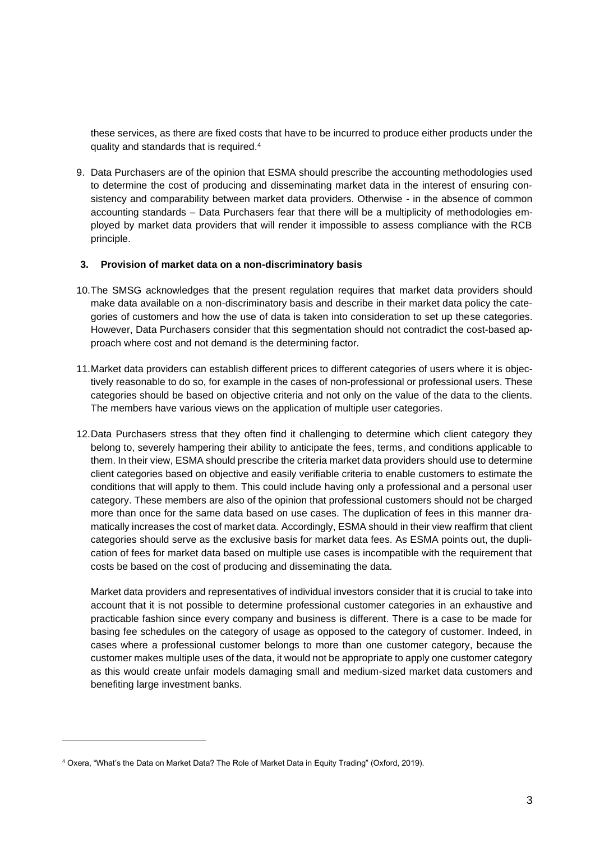these services, as there are fixed costs that have to be incurred to produce either products under the quality and standards that is required.<sup>4</sup>

9. Data Purchasers are of the opinion that ESMA should prescribe the accounting methodologies used to determine the cost of producing and disseminating market data in the interest of ensuring consistency and comparability between market data providers. Otherwise - in the absence of common accounting standards – Data Purchasers fear that there will be a multiplicity of methodologies employed by market data providers that will render it impossible to assess compliance with the RCB principle.

#### **3. Provision of market data on a non-discriminatory basis**

- 10.The SMSG acknowledges that the present regulation requires that market data providers should make data available on a non-discriminatory basis and describe in their market data policy the categories of customers and how the use of data is taken into consideration to set up these categories. However, Data Purchasers consider that this segmentation should not contradict the cost-based approach where cost and not demand is the determining factor.
- 11.Market data providers can establish different prices to different categories of users where it is objectively reasonable to do so, for example in the cases of non-professional or professional users. These categories should be based on objective criteria and not only on the value of the data to the clients. The members have various views on the application of multiple user categories.
- 12.Data Purchasers stress that they often find it challenging to determine which client category they belong to, severely hampering their ability to anticipate the fees, terms, and conditions applicable to them. In their view, ESMA should prescribe the criteria market data providers should use to determine client categories based on objective and easily verifiable criteria to enable customers to estimate the conditions that will apply to them. This could include having only a professional and a personal user category. These members are also of the opinion that professional customers should not be charged more than once for the same data based on use cases. The duplication of fees in this manner dramatically increases the cost of market data. Accordingly, ESMA should in their view reaffirm that client categories should serve as the exclusive basis for market data fees. As ESMA points out, the duplication of fees for market data based on multiple use cases is incompatible with the requirement that costs be based on the cost of producing and disseminating the data.

Market data providers and representatives of individual investors consider that it is crucial to take into account that it is not possible to determine professional customer categories in an exhaustive and practicable fashion since every company and business is different. There is a case to be made for basing fee schedules on the category of usage as opposed to the category of customer. Indeed, in cases where a professional customer belongs to more than one customer category, because the customer makes multiple uses of the data, it would not be appropriate to apply one customer category as this would create unfair models damaging small and medium-sized market data customers and benefiting large investment banks.

<sup>4</sup> Oxera, "What's the Data on Market Data? The Role of Market Data in Equity Trading" (Oxford, 2019).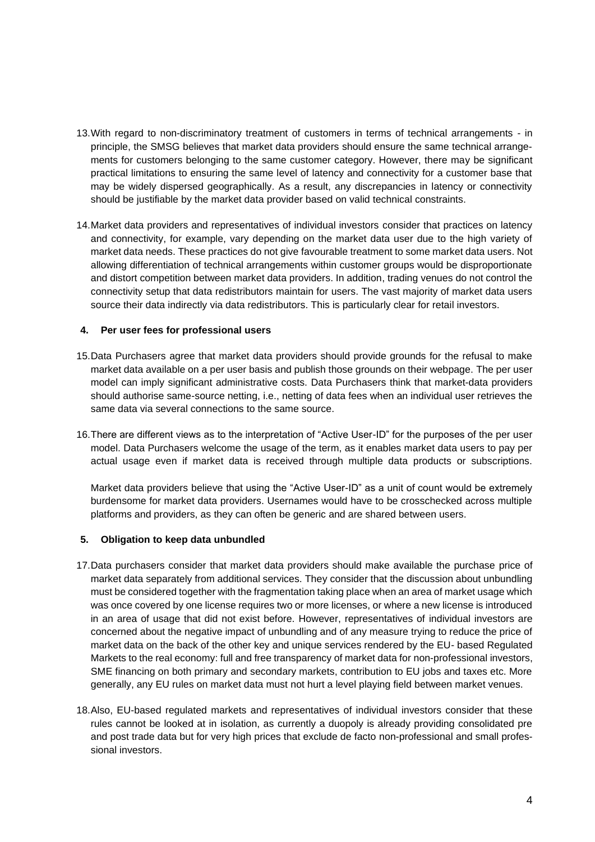- 13.With regard to non-discriminatory treatment of customers in terms of technical arrangements in principle, the SMSG believes that market data providers should ensure the same technical arrangements for customers belonging to the same customer category. However, there may be significant practical limitations to ensuring the same level of latency and connectivity for a customer base that may be widely dispersed geographically. As a result, any discrepancies in latency or connectivity should be justifiable by the market data provider based on valid technical constraints.
- 14.Market data providers and representatives of individual investors consider that practices on latency and connectivity, for example, vary depending on the market data user due to the high variety of market data needs. These practices do not give favourable treatment to some market data users. Not allowing differentiation of technical arrangements within customer groups would be disproportionate and distort competition between market data providers. In addition, trading venues do not control the connectivity setup that data redistributors maintain for users. The vast majority of market data users source their data indirectly via data redistributors. This is particularly clear for retail investors.

#### **4. Per user fees for professional users**

- 15.Data Purchasers agree that market data providers should provide grounds for the refusal to make market data available on a per user basis and publish those grounds on their webpage. The per user model can imply significant administrative costs. Data Purchasers think that market-data providers should authorise same-source netting, i.e., netting of data fees when an individual user retrieves the same data via several connections to the same source.
- 16.There are different views as to the interpretation of "Active User-ID" for the purposes of the per user model. Data Purchasers welcome the usage of the term, as it enables market data users to pay per actual usage even if market data is received through multiple data products or subscriptions.

Market data providers believe that using the "Active User-ID" as a unit of count would be extremely burdensome for market data providers. Usernames would have to be crosschecked across multiple platforms and providers, as they can often be generic and are shared between users.

#### **5. Obligation to keep data unbundled**

- 17.Data purchasers consider that market data providers should make available the purchase price of market data separately from additional services. They consider that the discussion about unbundling must be considered together with the fragmentation taking place when an area of market usage which was once covered by one license requires two or more licenses, or where a new license is introduced in an area of usage that did not exist before. However, representatives of individual investors are concerned about the negative impact of unbundling and of any measure trying to reduce the price of market data on the back of the other key and unique services rendered by the EU- based Regulated Markets to the real economy: full and free transparency of market data for non-professional investors, SME financing on both primary and secondary markets, contribution to EU jobs and taxes etc. More generally, any EU rules on market data must not hurt a level playing field between market venues.
- 18.Also, EU-based regulated markets and representatives of individual investors consider that these rules cannot be looked at in isolation, as currently a duopoly is already providing consolidated pre and post trade data but for very high prices that exclude de facto non-professional and small professional investors.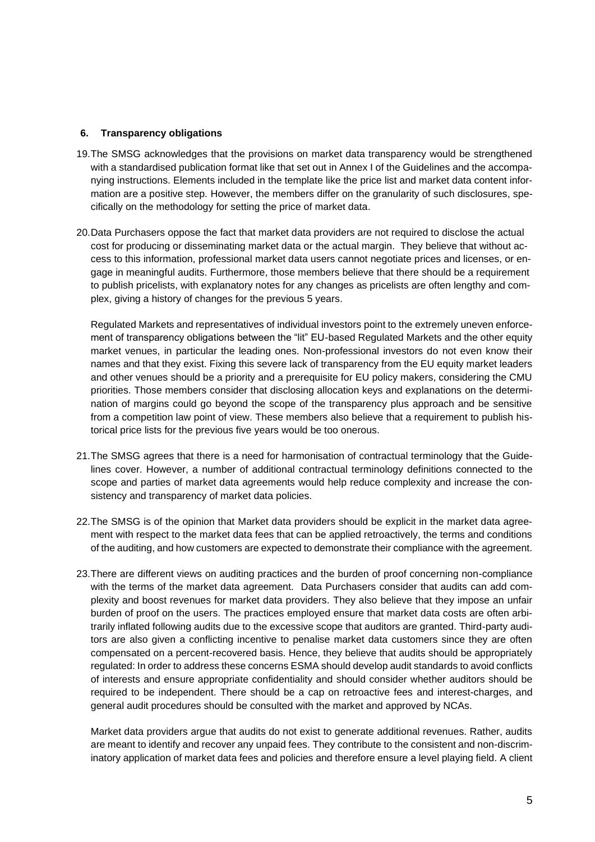#### **6. Transparency obligations**

- 19.The SMSG acknowledges that the provisions on market data transparency would be strengthened with a standardised publication format like that set out in Annex I of the Guidelines and the accompanying instructions. Elements included in the template like the price list and market data content information are a positive step. However, the members differ on the granularity of such disclosures, specifically on the methodology for setting the price of market data.
- 20.Data Purchasers oppose the fact that market data providers are not required to disclose the actual cost for producing or disseminating market data or the actual margin. They believe that without access to this information, professional market data users cannot negotiate prices and licenses, or engage in meaningful audits. Furthermore, those members believe that there should be a requirement to publish pricelists, with explanatory notes for any changes as pricelists are often lengthy and complex, giving a history of changes for the previous 5 years.

Regulated Markets and representatives of individual investors point to the extremely uneven enforcement of transparency obligations between the "lit" EU-based Regulated Markets and the other equity market venues, in particular the leading ones. Non-professional investors do not even know their names and that they exist. Fixing this severe lack of transparency from the EU equity market leaders and other venues should be a priority and a prerequisite for EU policy makers, considering the CMU priorities. Those members consider that disclosing allocation keys and explanations on the determination of margins could go beyond the scope of the transparency plus approach and be sensitive from a competition law point of view. These members also believe that a requirement to publish historical price lists for the previous five years would be too onerous.

- 21.The SMSG agrees that there is a need for harmonisation of contractual terminology that the Guidelines cover. However, a number of additional contractual terminology definitions connected to the scope and parties of market data agreements would help reduce complexity and increase the consistency and transparency of market data policies.
- 22.The SMSG is of the opinion that Market data providers should be explicit in the market data agreement with respect to the market data fees that can be applied retroactively, the terms and conditions of the auditing, and how customers are expected to demonstrate their compliance with the agreement.
- 23.There are different views on auditing practices and the burden of proof concerning non-compliance with the terms of the market data agreement. Data Purchasers consider that audits can add complexity and boost revenues for market data providers. They also believe that they impose an unfair burden of proof on the users. The practices employed ensure that market data costs are often arbitrarily inflated following audits due to the excessive scope that auditors are granted. Third-party auditors are also given a conflicting incentive to penalise market data customers since they are often compensated on a percent-recovered basis. Hence, they believe that audits should be appropriately regulated: In order to address these concerns ESMA should develop audit standards to avoid conflicts of interests and ensure appropriate confidentiality and should consider whether auditors should be required to be independent. There should be a cap on retroactive fees and interest-charges, and general audit procedures should be consulted with the market and approved by NCAs.

Market data providers argue that audits do not exist to generate additional revenues. Rather, audits are meant to identify and recover any unpaid fees. They contribute to the consistent and non-discriminatory application of market data fees and policies and therefore ensure a level playing field. A client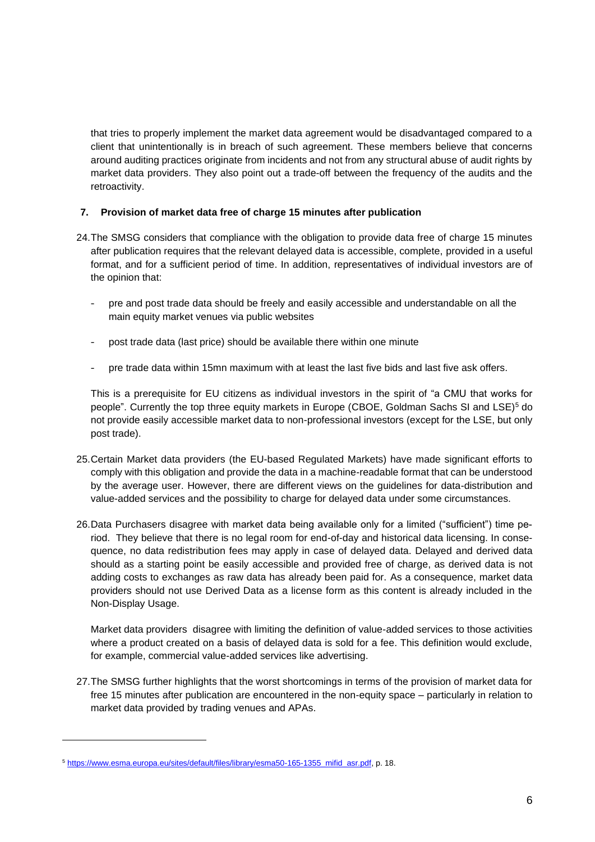that tries to properly implement the market data agreement would be disadvantaged compared to a client that unintentionally is in breach of such agreement. These members believe that concerns around auditing practices originate from incidents and not from any structural abuse of audit rights by market data providers. They also point out a trade-off between the frequency of the audits and the retroactivity.

#### **7. Provision of market data free of charge 15 minutes after publication**

- 24.The SMSG considers that compliance with the obligation to provide data free of charge 15 minutes after publication requires that the relevant delayed data is accessible, complete, provided in a useful format, and for a sufficient period of time. In addition, representatives of individual investors are of the opinion that:
	- pre and post trade data should be freely and easily accessible and understandable on all the main equity market venues via public websites
	- post trade data (last price) should be available there within one minute
	- pre trade data within 15mn maximum with at least the last five bids and last five ask offers.

This is a prerequisite for EU citizens as individual investors in the spirit of "a CMU that works for people". Currently the top three equity markets in Europe (CBOE, Goldman Sachs SI and LSE)<sup>5</sup> do not provide easily accessible market data to non-professional investors (except for the LSE, but only post trade).

- 25.Certain Market data providers (the EU-based Regulated Markets) have made significant efforts to comply with this obligation and provide the data in a machine-readable format that can be understood by the average user. However, there are different views on the guidelines for data-distribution and value-added services and the possibility to charge for delayed data under some circumstances.
- 26.Data Purchasers disagree with market data being available only for a limited ("sufficient") time period. They believe that there is no legal room for end-of-day and historical data licensing. In consequence, no data redistribution fees may apply in case of delayed data. Delayed and derived data should as a starting point be easily accessible and provided free of charge, as derived data is not adding costs to exchanges as raw data has already been paid for. As a consequence, market data providers should not use Derived Data as a license form as this content is already included in the Non-Display Usage.

Market data providers disagree with limiting the definition of value-added services to those activities where a product created on a basis of delayed data is sold for a fee. This definition would exclude, for example, commercial value-added services like advertising.

27.The SMSG further highlights that the worst shortcomings in terms of the provision of market data for free 15 minutes after publication are encountered in the non-equity space – particularly in relation to market data provided by trading venues and APAs.

<sup>5</sup> [https://www.esma.europa.eu/sites/default/files/library/esma50-165-1355\\_mifid\\_asr.pdf,](https://www.esma.europa.eu/sites/default/files/library/esma50-165-1355_mifid_asr.pdf) p. 18.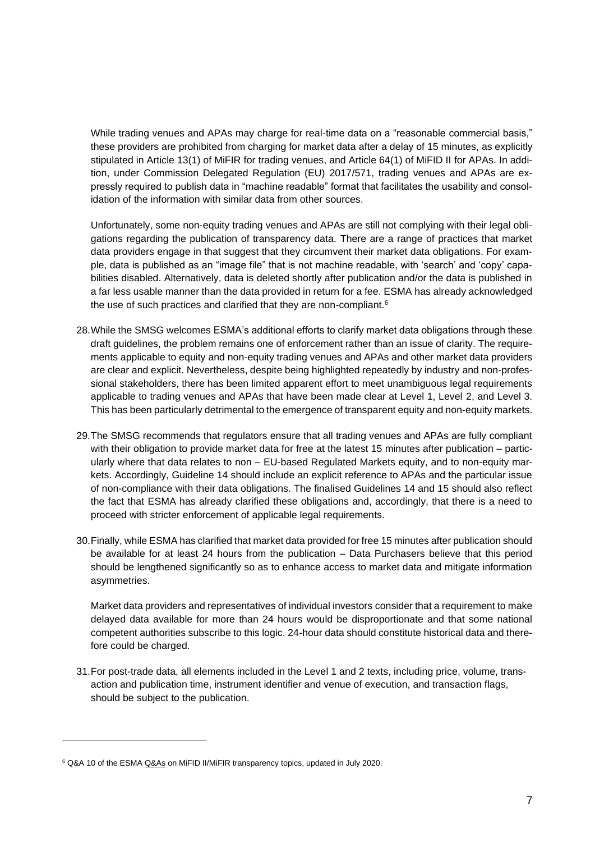While trading venues and APAs may charge for real-time data on a "reasonable commercial basis," these providers are prohibited from charging for market data after a delay of 15 minutes, as explicitly stipulated in Article 13(1) of MiFIR for trading venues, and Article 64(1) of MiFID II for APAs. In addition, under Commission Delegated Regulation (EU) 2017/571, trading venues and APAs are expressly required to publish data in "machine readable" format that facilitates the usability and consolidation of the information with similar data from other sources.

Unfortunately, some non-equity trading venues and APAs are still not complying with their legal obligations regarding the publication of transparency data. There are a range of practices that market data providers engage in that suggest that they circumvent their market data obligations. For example, data is published as an "image file" that is not machine readable, with 'search' and 'copy' capabilities disabled. Alternatively, data is deleted shortly after publication and/or the data is published in a far less usable manner than the data provided in return for a fee. ESMA has already acknowledged the use of such practices and clarified that they are non-compliant.<sup>6</sup>

- 28.While the SMSG welcomes ESMA's additional efforts to clarify market data obligations through these draft guidelines, the problem remains one of enforcement rather than an issue of clarity. The requirements applicable to equity and non-equity trading venues and APAs and other market data providers are clear and explicit. Nevertheless, despite being highlighted repeatedly by industry and non-professional stakeholders, there has been limited apparent effort to meet unambiguous legal requirements applicable to trading venues and APAs that have been made clear at Level 1, Level 2, and Level 3. This has been particularly detrimental to the emergence of transparent equity and non-equity markets.
- 29.The SMSG recommends that regulators ensure that all trading venues and APAs are fully compliant with their obligation to provide market data for free at the latest 15 minutes after publication – particularly where that data relates to non – EU-based Regulated Markets equity, and to non-equity markets. Accordingly, Guideline 14 should include an explicit reference to APAs and the particular issue of non-compliance with their data obligations. The finalised Guidelines 14 and 15 should also reflect the fact that ESMA has already clarified these obligations and, accordingly, that there is a need to proceed with stricter enforcement of applicable legal requirements.
- 30.Finally, while ESMA has clarified that market data provided for free 15 minutes after publication should be available for at least 24 hours from the publication – Data Purchasers believe that this period should be lengthened significantly so as to enhance access to market data and mitigate information asymmetries.

Market data providers and representatives of individual investors consider that a requirement to make delayed data available for more than 24 hours would be disproportionate and that some national competent authorities subscribe to this logic. 24-hour data should constitute historical data and therefore could be charged.

31.For post-trade data, all elements included in the Level 1 and 2 texts, including price, volume, transaction and publication time, instrument identifier and venue of execution, and transaction flags, should be subject to the publication.

<sup>&</sup>lt;sup>6</sup> Q&A 10 of the ESM[A Q&As](https://eur01.safelinks.protection.outlook.com/?url=https%3A%2F%2Furldefense.com%2Fv3%2F__https%3A%2Feur01.safelinks.protection.outlook.com%2F%3Furl%3Dhttps*3A*2F*2Furldefense.com*2Fv3*2F__https*3A*2Fwww.esma.europa.eu*2Fsites*2Fdefault*2Ffiles*2Flibrary*2Fesma70-872942901-35_qas_transparency_issues.pdf__*3B!!Fz903QLZ0o-4x98!5mPjAAfzMHkY9gi2pt5mLehWb5qB3hZ_fFhlNnYmhiRK_UD4e-7meHxUz0TOWPRFNtQ*24%26data%3D04*7C01*7Chugo.gallagher*40humebrophy.com*7C7a3a9ee14d934e3cda0108d89de77f79*7Ccbb9e530f03a43c7b72d467e132ff30e*7C1*7C0*7C637432965349858593*7CUnknown*7CTWFpbGZsb3d8eyJWIjoiMC4wLjAwMDAiLCJQIjoiV2luMzIiLCJBTiI6Ik1haWwiLCJXVCI6Mn0*3D*7C1000%26sdata%3DsJp3E3DkuFAdWSWUhw*2BdmCinmi*2F6YGJG1SJPkwxFALw*3D%26reserved%3D0__%3BJSUlJSUlJSUlJSUlJSUlJSUlJSUlJSUlJSUlJSU!!Fz903QLZ0o-4x98!5zSTRnjliC9DVuisgfSr0dX0Uqr52tVs7jDa2wiBN84YxkarrnO5zb_e9eBGYzRi3LU%24&data=04%7C01%7Chugo.gallagher%40humebrophy.com%7C276084b664414483255108d8a0450d85%7Ccbb9e530f03a43c7b72d467e132ff30e%7C1%7C0%7C637435565733682786%7CUnknown%7CTWFpbGZsb3d8eyJWIjoiMC4wLjAwMDAiLCJQIjoiV2luMzIiLCJBTiI6Ik1haWwiLCJXVCI6Mn0%3D%7C1000&sdata=Dz3XUzMV%2FqIKVqOGf%2BE7TGLkgcvJzMbKYCbqwNZJ7jY%3D&reserved=0) on MiFID II/MiFIR transparency topics, updated in July 2020.